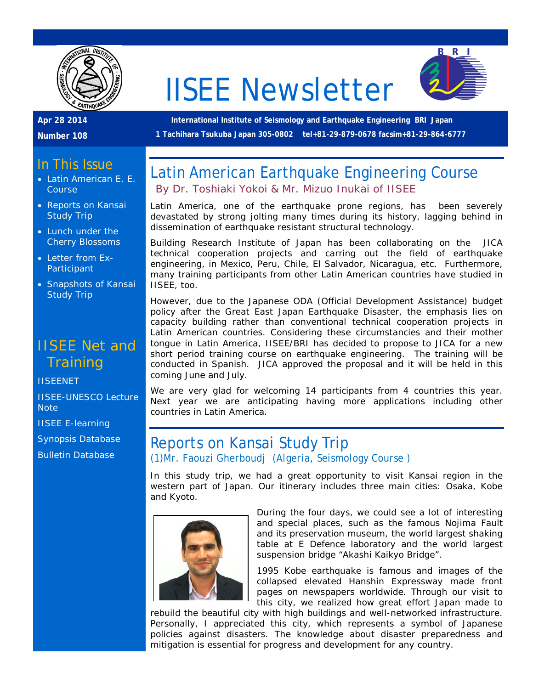

# IISEE Newsletter



**Apr 28 2014** 

**Number 108**

**International Institute of Seismology and Earthquake Engineering BRI Japan 1 Tachihara Tsukuba Japan 305-0802 tel+81-29-879-0678 facsim+81-29-864-6777**

### In This Issue

- Latin American E. E. **Course**
- Reports on Kansai Study Trip
- Lunch under the Cherry Blossoms
- Letter from Ex-**Participant**
- Snapshots of Kansai Study Trip

# IISEE Net and **Training**

**[IISEENET](http://iisee.kenken.go.jp/net/)** 

[IISEE-UNESCO Lecture](http://iisee/lna/)  **[Note](http://iisee/lna/)** 

[IISEE E-learning](http://iisee/el/)

[Synopsis Database](http://iisee/syndb/)

[Bulletin Database](http://iisee/bltndb/)

# Latin American Earthquake Engineering Course *By Dr. Toshiaki Yokoi & Mr. Mizuo Inukai of IISEE*

Latin America, one of the earthquake prone regions, has been severely devastated by strong jolting many times during its history, lagging behind in dissemination of earthquake resistant structural technology.

Building Research Institute of Japan has been collaborating on the JICA technical cooperation projects and carring out the field of earthquake engineering, in Mexico, Peru, Chile, El Salvador, Nicaragua, etc. Furthermore, many training participants from other Latin American countries have studied in IISEE, too.

However, due to the Japanese ODA (Official Development Assistance) budget policy after the Great East Japan Earthquake Disaster, the emphasis lies on capacity building rather than conventional technical cooperation projects in Latin American countries. Considering these circumstancies and their mother tongue in Latin America, IISEE/BRI has decided to propose to JICA for a new short period training course on earthquake engineering. The training will be conducted in Spanish. JICA approved the proposal and it will be held in this coming June and July.

We are very glad for welcoming 14 participants from 4 countries this year. Next year we are anticipating having more applications including other countries in Latin America.

#### Reports on Kansai Study Trip *(1)Mr. Faouzi Gherboudj (Algeria, Seismology Course )*

In this study trip, we had a great opportunity to visit Kansai region in the western part of Japan. Our itinerary includes three main cities: Osaka, Kobe and Kyoto.



During the four days, we could see a lot of interesting and special places, such as the famous Nojima Fault and its preservation museum, the world largest shaking table at E Defence laboratory and the world largest suspension bridge "Akashi Kaikyo Bridge".

1995 Kobe earthquake is famous and images of the collapsed elevated Hanshin Expressway made front pages on newspapers worldwide. Through our visit to this city, we realized how great effort Japan made to

rebuild the beautiful city with high buildings and well-networked infrastructure. Personally, I appreciated this city, which represents a symbol of Japanese policies against disasters. The knowledge about disaster preparedness and mitigation is essential for progress and development for any country.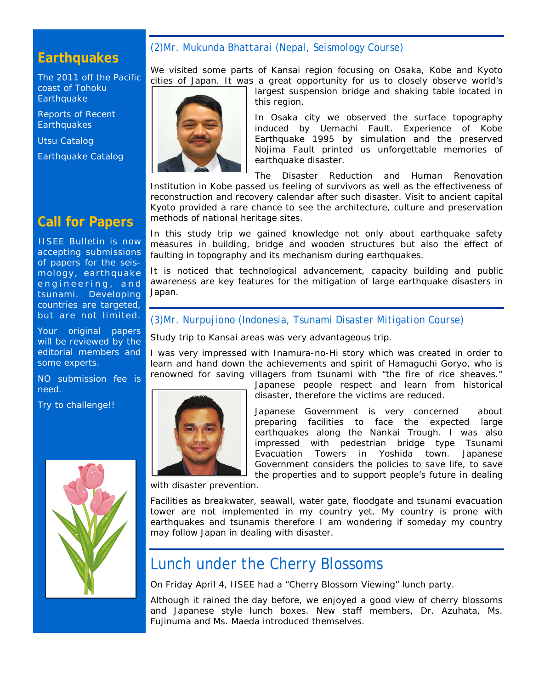# **Earthquakes**

[The 2011 off the Pacific](http://iisee/special2/20110311tohoku.htm)  [coast of Tohoku](http://iisee/special2/20110311tohoku.htm)  **[Earthquake](http://iisee/special2/20110311tohoku.htm)** 

[Reports of Recent](http://iisee/quakes.htm)  **[Earthquakes](http://iisee/quakes.htm)** 

[Utsu Catalog](http://iisee/utsu/index_eng.html)

[Earthquake Catalog](http://iisee/eqcat/Top_page_en.htm)

# **Call for Papers**

IISEE Bulletin is now accepting submissions of papers for the seismology, earthquake engineering, and tsunami. Developing countries are targeted, but are not limited.

Your original papers will be reviewed by the editorial members and some experts.

NO submission fee is need.

Try to challenge!!



#### *(2)Mr. Mukunda Bhattarai (Nepal, Seismology Course)*

We visited some parts of Kansai region focusing on Osaka, Kobe and Kyoto cities of Japan. It was a great opportunity for us to closely observe world's largest suspension bridge and shaking table located in

this region. In Osaka city we observed the surface topography induced by Uemachi Fault. Experience of Kobe Earthquake 1995 by simulation and the preserved

Nojima Fault printed us unforgettable memories of earthquake disaster.

The Disaster Reduction and Human Renovation Institution in Kobe passed us feeling of survivors as well as the effectiveness of reconstruction and recovery calendar after such disaster. Visit to ancient capital Kyoto provided a rare chance to see the architecture, culture and preservation methods of national heritage sites.

In this study trip we gained knowledge not only about earthquake safety measures in building, bridge and wooden structures but also the effect of faulting in topography and its mechanism during earthquakes.

It is noticed that technological advancement, capacity building and public awareness are key features for the mitigation of large earthquake disasters in Japan.

#### *(3)Mr. Nurpujiono (Indonesia, Tsunami Disaster Mitigation Course)*

Study trip to Kansai areas was very advantageous trip.

I was very impressed with Inamura-no-Hi story which was created in order to learn and hand down the achievements and spirit of Hamaguchi Goryo, who is renowned for saving villagers from tsunami with "the fire of rice sheaves."



Japanese people respect and learn from historical disaster, therefore the victims are reduced.

Japanese Government is very concerned about preparing facilities to face the expected large earthquakes along the Nankai Trough. I was also impressed with pedestrian bridge type Tsunami Evacuation Towers in Yoshida town. Japanese Government considers the policies to save life, to save the properties and to support people's future in dealing

with disaster prevention.

Facilities as breakwater, seawall, water gate, floodgate and tsunami evacuation tower are not implemented in my country yet. My country is prone with earthquakes and tsunamis therefore I am wondering if someday my country may follow Japan in dealing with disaster.

# Lunch under the Cherry Blossoms

On Friday April 4, IISEE had a "Cherry Blossom Viewing" lunch party.

Although it rained the day before, we enjoyed a good view of cherry blossoms and Japanese style lunch boxes. New staff members, Dr. Azuhata, Ms. Fujinuma and Ms. Maeda introduced themselves.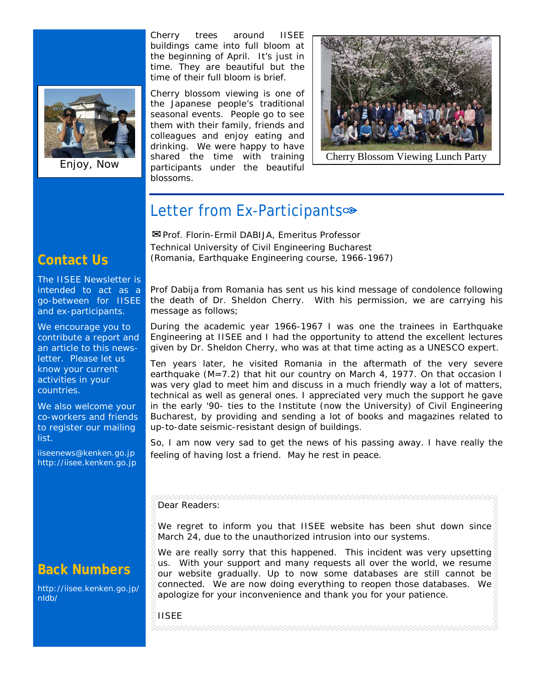

Enjoy, Now

Cherry trees around IISEE buildings came into full bloom at the beginning of April. It's just in time. They are beautiful but the time of their full bloom is brief.

Cherry blossom viewing is one of the Japanese people's traditional seasonal events. People go to see them with their family, friends and colleagues and enjoy eating and drinking. We were happy to have shared the time with training participants under the beautiful blossoms.



Cherry Blossom Viewing Lunch Party

# Letter from Ex-Participants∞

✉*Prof. Florin-Ermil DABIJA, Emeritus Professor Technical University of Civil Engineering Bucharest (Romania, Earthquake Engineering course, 1966-1967)*

The IISEE Newsletter is

**Contact Us**

intended to act as a go-between for IISEE and ex-participants.

We encourage you to contribute a report and an article to this newsletter. Please let us know your current activities in your countries.

We also welcome your co-workers and friends to register our mailing list.

iiseenews@kenken.go.jp [http://iisee.kenken.go.jp](http://iisee.kenken.go.jp/)

# **Back Numbers**

[http://iisee.kenken.go.jp/](http://iisee.kenken.go.jp/nldb/) [nldb/](http://iisee.kenken.go.jp/nldb/)

Prof Dabija from Romania has sent us his kind message of condolence following the death of Dr. Sheldon Cherry. With his permission, we are carrying his message as follows;

*During the academic year 1966-1967 I was one the trainees in Earthquake Engineering at IISEE and I had the opportunity to attend the excellent lectures given by Dr. Sheldon Cherry, who was at that time acting as a UNESCO expert.*

*Ten years later, he visited Romania in the aftermath of the very severe*  earthquake (M=7.2) that hit our country on March 4, 1977. On that occasion I *was very glad to meet him and discuss in a much friendly way a lot of matters, technical as well as general ones. I appreciated very much the support he gave in the early '90- ties to the Institute (now the University) of Civil Engineering Bucharest, by providing and sending a lot of books and magazines related to up-to-date seismic-resistant design of buildings.*

*So, I am now very sad to get the news of his passing away. I have really the feeling of having lost a friend. May he rest in peace.*

#### Dear Readers:

We regret to inform you that IISEE website has been shut down since March 24, due to the unauthorized intrusion into our systems.

We are really sorry that this happened. This incident was very upsetting us. With your support and many requests all over the world, we resume our website gradually. Up to now some databases are still cannot be connected. We are now doing everything to reopen those databases. We apologize for your inconvenience and thank you for your patience.

IISEE